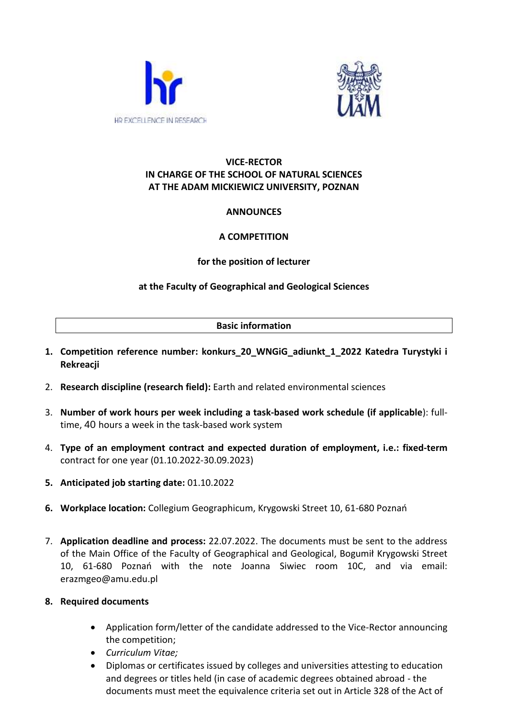



### **VICE-RECTOR IN CHARGE OF THE SCHOOL OF NATURAL SCIENCES AT THE ADAM MICKIEWICZ UNIVERSITY, POZNAN**

# **ANNOUNCES**

# **A COMPETITION**

# **for the position of lecturer**

# **at the Faculty of Geographical and Geological Sciences**

### **Basic information**

- **1. Competition reference number: konkurs\_20\_WNGiG\_adiunkt\_1\_2022 Katedra Turystyki i Rekreacji**
- 2. **Research discipline (research field):** Earth and related environmental sciences
- 3. **Number of work hours per week including a task-based work schedule (if applicable**): fulltime, 40 hours a week in the task-based work system
- 4. **Type of an employment contract and expected duration of employment, i.e.: fixed-term**  contract for one year (01.10.2022-30.09.2023)
- **5. Anticipated job starting date:** 01.10.2022
- **6. Workplace location:** Collegium Geographicum, Krygowski Street 10, 61-680 Poznań
- 7. **Application deadline and process:** 22.07.2022. The documents must be sent to the address of the Main Office of the Faculty of Geographical and Geological, Bogumił Krygowski Street 10, 61-680 Poznań with the note Joanna Siwiec room 10C, and via email: erazmgeo@amu.edu.pl

### **8. Required documents**

- Application form/letter of the candidate addressed to the Vice-Rector announcing the competition;
- *Curriculum Vitae;*
- Diplomas or certificates issued by colleges and universities attesting to education and degrees or titles held (in case of academic degrees obtained abroad - the documents must meet the equivalence criteria set out in Article 328 of the Act of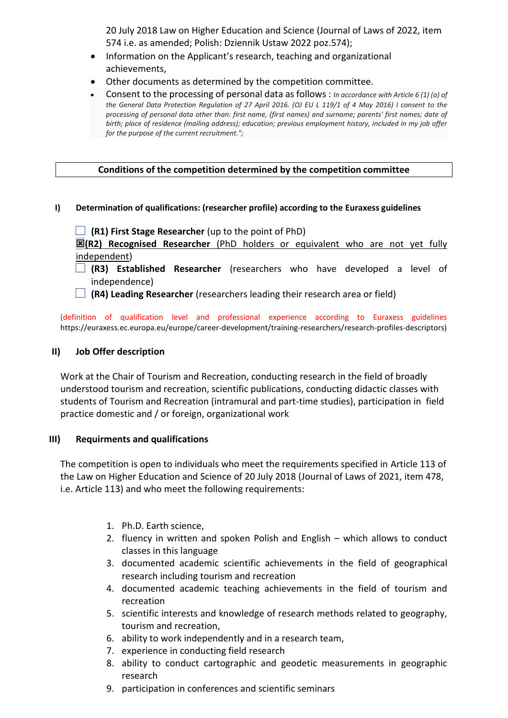20 July 2018 Law on Higher Education and Science (Journal of Laws of 2022, item 574 i.e. as amended; Polish: Dziennik Ustaw 2022 poz.574);

- Information on the Applicant's research, teaching and organizational achievements,
- Other documents as determined by the competition committee.
- Consent to the processing of personal data as follows : *In accordance with Article 6 (1) (a) of the General Data Protection Regulation of 27 April 2016. (OJ EU L 119/1 of 4 May 2016) I consent to the processing of personal data other than: first name, (first names) and surname; parents' first names; date of birth; place of residence (mailing address); education; previous employment history, included in my job offer for the purpose of the current recruitment.";*

### **Conditions of the competition determined by the competition committee**

#### **I) Determination of qualifications: (researcher profile) according to the Euraxess guidelines**

**(R1) First Stage Researcher** (up to the point of PhD)

**(R2) Recognised Researcher** (PhD holders or equivalent who are not yet fully independent)

- **(R3) Established Researcher** (researchers who have developed a level of independence)
- **(R4) Leading Researcher** (researchers leading their research area or field)

(definition of qualification level and professional experience according to Euraxess guidelines https://euraxess.ec.europa.eu/europe/career-development/training-researchers/research-profiles-descriptors)

#### **II) Job Offer description**

Work at the Chair of Tourism and Recreation, conducting research in the field of broadly understood tourism and recreation, scientific publications, conducting didactic classes with students of Tourism and Recreation (intramural and part-time studies), participation in field practice domestic and / or foreign, organizational work

#### **III) Requirments and qualifications**

The competition is open to individuals who meet the requirements specified in Article 113 of the Law on Higher Education and Science of 20 July 2018 (Journal of Laws of 2021, item 478, i.e. Article 113) and who meet the following requirements:

- 1. Ph.D. Earth science,
- 2. fluency in written and spoken Polish and English which allows to conduct classes in this language
- 3. documented academic scientific achievements in the field of geographical research including tourism and recreation
- 4. documented academic teaching achievements in the field of tourism and recreation
- 5. scientific interests and knowledge of research methods related to geography, tourism and recreation,
- 6. ability to work independently and in a research team,
- 7. experience in conducting field research
- 8. ability to conduct cartographic and geodetic measurements in geographic research
- 9. participation in conferences and scientific seminars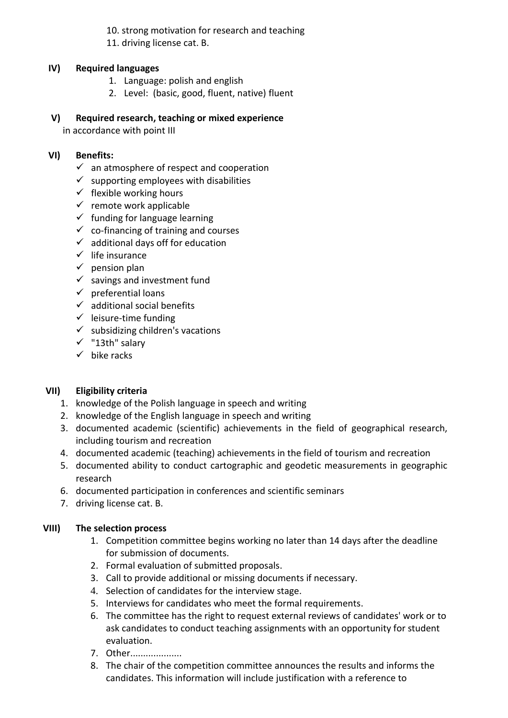10. strong motivation for research and teaching

11. driving license cat. B.

### **IV) Required languages**

- 1. Language: polish and english
- 2. Level: (basic, good, fluent, native) fluent

### **V) Required research, teaching or mixed experience**

in accordance with point III

# **VI) Benefits:**

- $\checkmark$  an atmosphere of respect and cooperation
- $\checkmark$  supporting employees with disabilities
- $\checkmark$  flexible working hours
- $\checkmark$  remote work applicable
- $\checkmark$  funding for language learning
- $\checkmark$  co-financing of training and courses
- $\checkmark$  additional days off for education
- $\checkmark$  life insurance
- $\checkmark$  pension plan
- $\checkmark$  savings and investment fund
- $\checkmark$  preferential loans
- $\checkmark$  additional social benefits
- $\checkmark$  leisure-time funding
- $\checkmark$  subsidizing children's vacations
- ✓ "13th" salary
- $\checkmark$  bike racks

# **VII) Eligibility criteria**

- 1. knowledge of the Polish language in speech and writing
- 2. knowledge of the English language in speech and writing
- 3. documented academic (scientific) achievements in the field of geographical research, including tourism and recreation
- 4. documented academic (teaching) achievements in the field of tourism and recreation
- 5. documented ability to conduct cartographic and geodetic measurements in geographic research
- 6. documented participation in conferences and scientific seminars
- 7. driving license cat. B.

### **VIII) The selection process**

- 1. Competition committee begins working no later than 14 days after the deadline for submission of documents.
- 2. Formal evaluation of submitted proposals.
- 3. Call to provide additional or missing documents if necessary.
- 4. Selection of candidates for the interview stage.
- 5. Interviews for candidates who meet the formal requirements.
- 6. The committee has the right to request external reviews of candidates' work or to ask candidates to conduct teaching assignments with an opportunity for student evaluation.
- 7. Other....................
- 8. The chair of the competition committee announces the results and informs the candidates. This information will include justification with a reference to